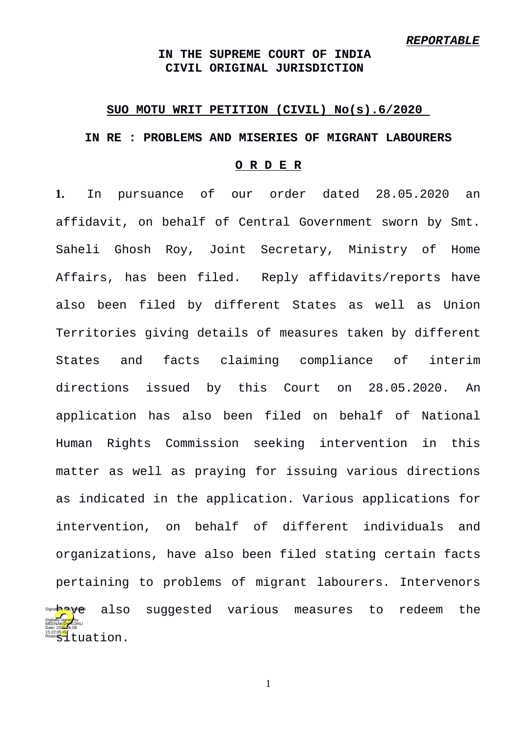#### *REPORTABLE*

# **IN THE SUPREME COURT OF INDIA CIVIL ORIGINAL JURISDICTION**

## **SUO MOTU WRIT PETITION (CIVIL) No(s).6/2020**

# **IN RE : PROBLEMS AND MISERIES OF MIGRANT LABOURERS**

#### **O R D E R**

**1.** In pursuance of our order dated 28.05.2020 an affidavit, on behalf of Central Government sworn by Smt. Saheli Ghosh Roy, Joint Secretary, Ministry of Home Affairs, has been filed. Reply affidavits/reports have also been filed by different States as well as Union Territories giving details of measures taken by different States and facts claiming compliance of interim directions issued by this Court on 28.05.2020. An application has also been filed on behalf of National Human Rights Commission seeking intervention in this matter as well as praying for issuing various directions as indicated in the application. Various applications for intervention, on behalf of different individuals and organizations, have also been filed stating certain facts pertaining to problems of migrant labourers. Intervenors also suggested various measures to redeem the 15:22:05<mark>151</mark>tuation. Digitally signed by MEENAK<mark>SH</mark>I KOHLI Date: 2020.06.09 Reason: st<mark>ure natyrie</mark>d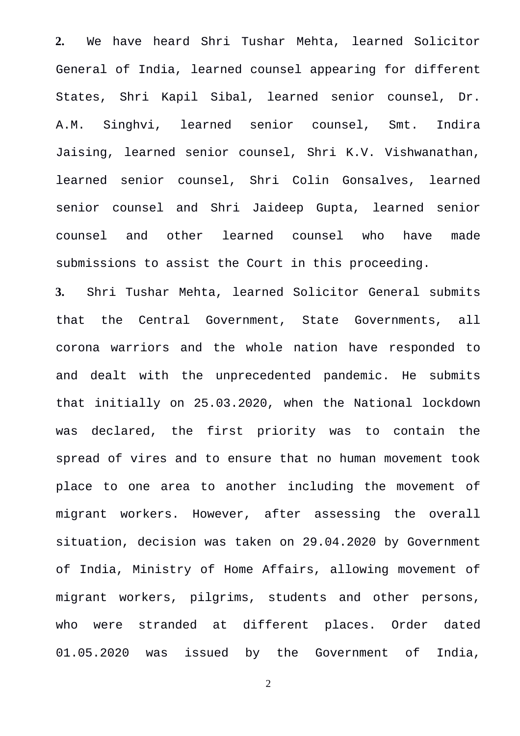**2.** We have heard Shri Tushar Mehta, learned Solicitor General of India, learned counsel appearing for different States, Shri Kapil Sibal, learned senior counsel, Dr. A.M. Singhvi, learned senior counsel, Smt. Indira Jaising, learned senior counsel, Shri K.V. Vishwanathan, learned senior counsel, Shri Colin Gonsalves, learned senior counsel and Shri Jaideep Gupta, learned senior counsel and other learned counsel who have made submissions to assist the Court in this proceeding.

**3.** Shri Tushar Mehta, learned Solicitor General submits that the Central Government, State Governments, all corona warriors and the whole nation have responded to and dealt with the unprecedented pandemic. He submits that initially on 25.03.2020, when the National lockdown was declared, the first priority was to contain the spread of vires and to ensure that no human movement took place to one area to another including the movement of migrant workers. However, after assessing the overall situation, decision was taken on 29.04.2020 by Government of India, Ministry of Home Affairs, allowing movement of migrant workers, pilgrims, students and other persons, who were stranded at different places. Order dated 01.05.2020 was issued by the Government of India,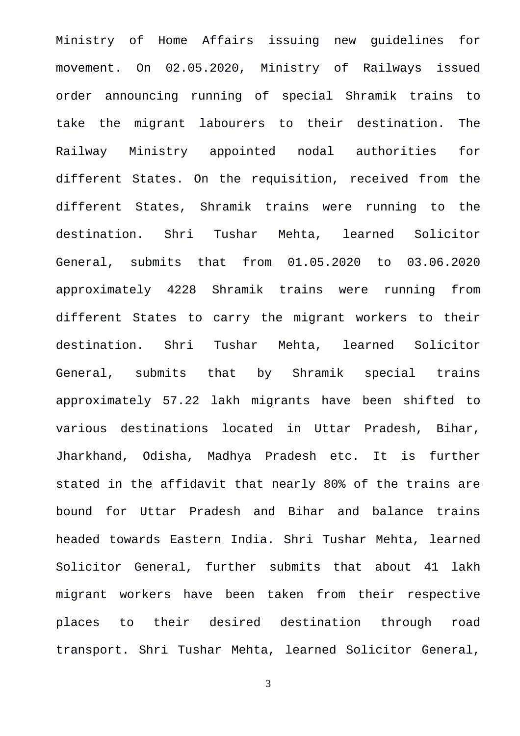Ministry of Home Affairs issuing new guidelines for movement. On 02.05.2020, Ministry of Railways issued order announcing running of special Shramik trains to take the migrant labourers to their destination. The Railway Ministry appointed nodal authorities for different States. On the requisition, received from the different States, Shramik trains were running to the destination. Shri Tushar Mehta, learned Solicitor General, submits that from 01.05.2020 to 03.06.2020 approximately 4228 Shramik trains were running from different States to carry the migrant workers to their destination. Shri Tushar Mehta, learned Solicitor General, submits that by Shramik special trains approximately 57.22 lakh migrants have been shifted to various destinations located in Uttar Pradesh, Bihar, Jharkhand, Odisha, Madhya Pradesh etc. It is further stated in the affidavit that nearly 80% of the trains are bound for Uttar Pradesh and Bihar and balance trains headed towards Eastern India. Shri Tushar Mehta, learned Solicitor General, further submits that about 41 lakh migrant workers have been taken from their respective places to their desired destination through road transport. Shri Tushar Mehta, learned Solicitor General,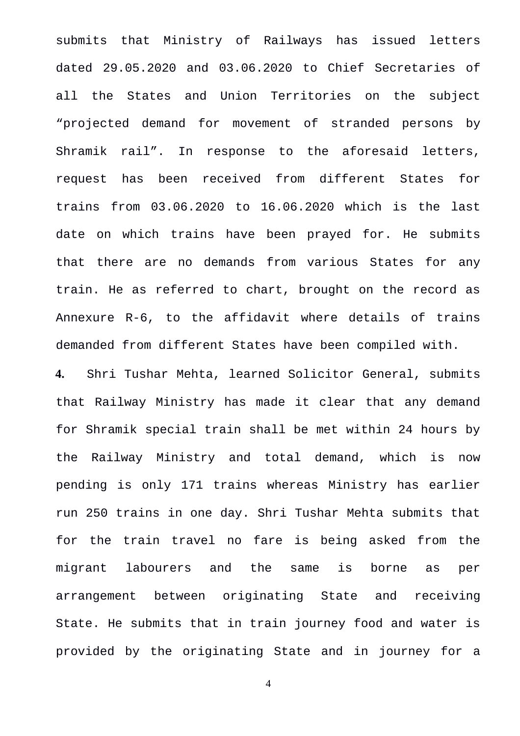submits that Ministry of Railways has issued letters dated 29.05.2020 and 03.06.2020 to Chief Secretaries of all the States and Union Territories on the subject "projected demand for movement of stranded persons by Shramik rail". In response to the aforesaid letters, request has been received from different States for trains from 03.06.2020 to 16.06.2020 which is the last date on which trains have been prayed for. He submits that there are no demands from various States for any train. He as referred to chart, brought on the record as Annexure R-6, to the affidavit where details of trains demanded from different States have been compiled with.

**4.** Shri Tushar Mehta, learned Solicitor General, submits that Railway Ministry has made it clear that any demand for Shramik special train shall be met within 24 hours by the Railway Ministry and total demand, which is now pending is only 171 trains whereas Ministry has earlier run 250 trains in one day. Shri Tushar Mehta submits that for the train travel no fare is being asked from the migrant labourers and the same is borne as per arrangement between originating State and receiving State. He submits that in train journey food and water is provided by the originating State and in journey for a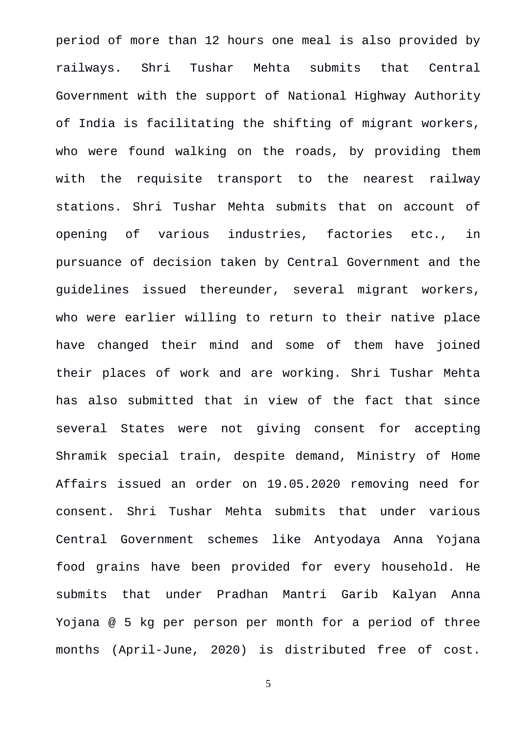period of more than 12 hours one meal is also provided by railways. Shri Tushar Mehta submits that Central Government with the support of National Highway Authority of India is facilitating the shifting of migrant workers, who were found walking on the roads, by providing them with the requisite transport to the nearest railway stations. Shri Tushar Mehta submits that on account of opening of various industries, factories etc., in pursuance of decision taken by Central Government and the guidelines issued thereunder, several migrant workers, who were earlier willing to return to their native place have changed their mind and some of them have joined their places of work and are working. Shri Tushar Mehta has also submitted that in view of the fact that since several States were not giving consent for accepting Shramik special train, despite demand, Ministry of Home Affairs issued an order on 19.05.2020 removing need for consent. Shri Tushar Mehta submits that under various Central Government schemes like Antyodaya Anna Yojana food grains have been provided for every household. He submits that under Pradhan Mantri Garib Kalyan Anna Yojana @ 5 kg per person per month for a period of three months (April-June, 2020) is distributed free of cost.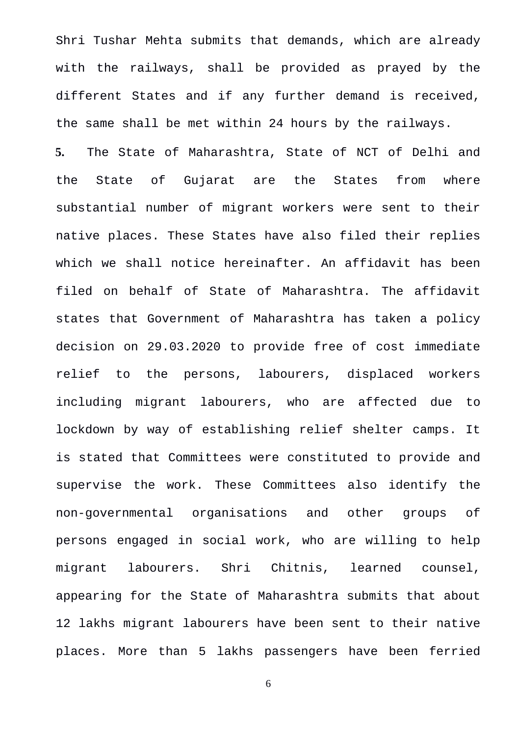Shri Tushar Mehta submits that demands, which are already with the railways, shall be provided as prayed by the different States and if any further demand is received, the same shall be met within 24 hours by the railways.

**5.** The State of Maharashtra, State of NCT of Delhi and the State of Gujarat are the States from where substantial number of migrant workers were sent to their native places. These States have also filed their replies which we shall notice hereinafter. An affidavit has been filed on behalf of State of Maharashtra. The affidavit states that Government of Maharashtra has taken a policy decision on 29.03.2020 to provide free of cost immediate relief to the persons, labourers, displaced workers including migrant labourers, who are affected due to lockdown by way of establishing relief shelter camps. It is stated that Committees were constituted to provide and supervise the work. These Committees also identify the non-governmental organisations and other groups of persons engaged in social work, who are willing to help migrant labourers. Shri Chitnis, learned counsel, appearing for the State of Maharashtra submits that about 12 lakhs migrant labourers have been sent to their native places. More than 5 lakhs passengers have been ferried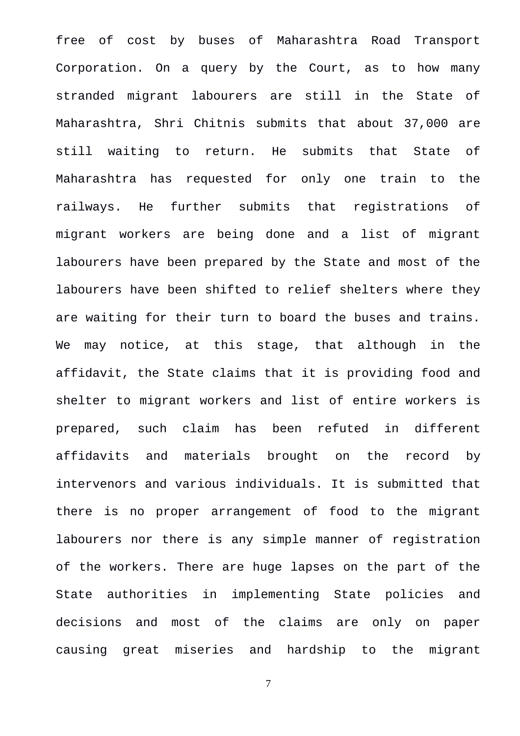free of cost by buses of Maharashtra Road Transport Corporation. On a query by the Court, as to how many stranded migrant labourers are still in the State of Maharashtra, Shri Chitnis submits that about 37,000 are still waiting to return. He submits that State of Maharashtra has requested for only one train to the railways. He further submits that registrations of migrant workers are being done and a list of migrant labourers have been prepared by the State and most of the labourers have been shifted to relief shelters where they are waiting for their turn to board the buses and trains. We may notice, at this stage, that although in the affidavit, the State claims that it is providing food and shelter to migrant workers and list of entire workers is prepared, such claim has been refuted in different affidavits and materials brought on the record by intervenors and various individuals. It is submitted that there is no proper arrangement of food to the migrant labourers nor there is any simple manner of registration of the workers. There are huge lapses on the part of the State authorities in implementing State policies and decisions and most of the claims are only on paper causing great miseries and hardship to the migrant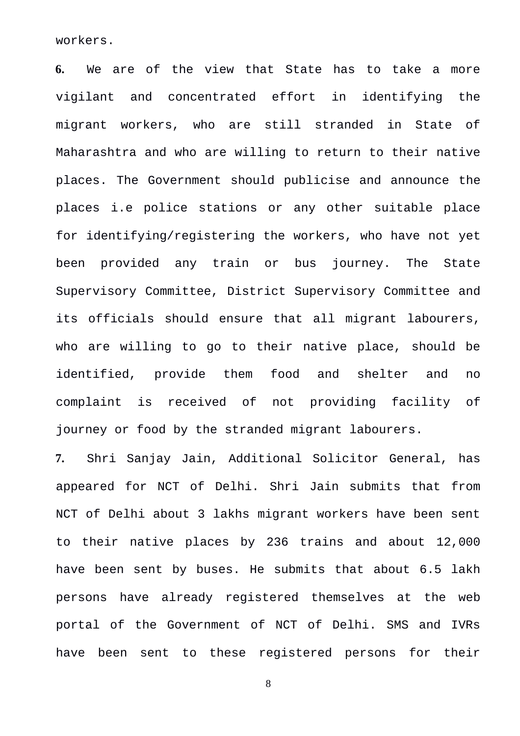workers.

**6.** We are of the view that State has to take a more vigilant and concentrated effort in identifying the migrant workers, who are still stranded in State of Maharashtra and who are willing to return to their native places. The Government should publicise and announce the places i.e police stations or any other suitable place for identifying/registering the workers, who have not yet been provided any train or bus journey. The State Supervisory Committee, District Supervisory Committee and its officials should ensure that all migrant labourers, who are willing to go to their native place, should be identified, provide them food and shelter and no complaint is received of not providing facility of journey or food by the stranded migrant labourers.

**7.** Shri Sanjay Jain, Additional Solicitor General, has appeared for NCT of Delhi. Shri Jain submits that from NCT of Delhi about 3 lakhs migrant workers have been sent to their native places by 236 trains and about 12,000 have been sent by buses. He submits that about 6.5 lakh persons have already registered themselves at the web portal of the Government of NCT of Delhi. SMS and IVRs have been sent to these registered persons for their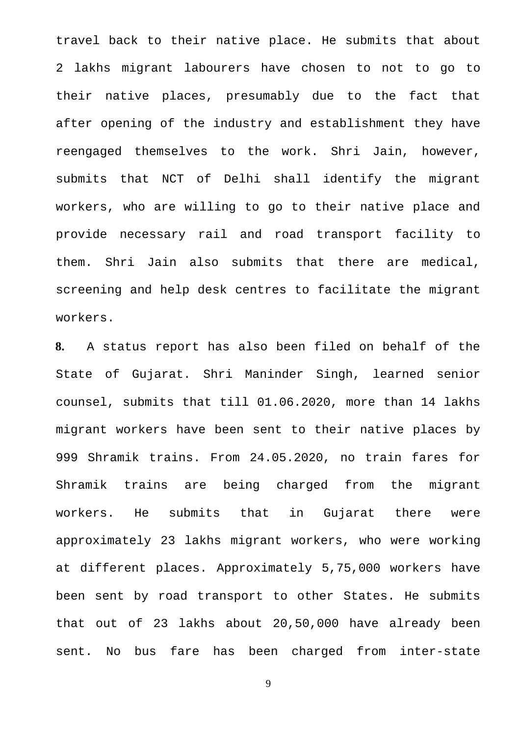travel back to their native place. He submits that about 2 lakhs migrant labourers have chosen to not to go to their native places, presumably due to the fact that after opening of the industry and establishment they have reengaged themselves to the work. Shri Jain, however, submits that NCT of Delhi shall identify the migrant workers, who are willing to go to their native place and provide necessary rail and road transport facility to them. Shri Jain also submits that there are medical, screening and help desk centres to facilitate the migrant workers.

**8.** A status report has also been filed on behalf of the State of Gujarat. Shri Maninder Singh, learned senior counsel, submits that till 01.06.2020, more than 14 lakhs migrant workers have been sent to their native places by 999 Shramik trains. From 24.05.2020, no train fares for Shramik trains are being charged from the migrant workers. He submits that in Gujarat there were approximately 23 lakhs migrant workers, who were working at different places. Approximately 5,75,000 workers have been sent by road transport to other States. He submits that out of 23 lakhs about 20,50,000 have already been sent. No bus fare has been charged from inter-state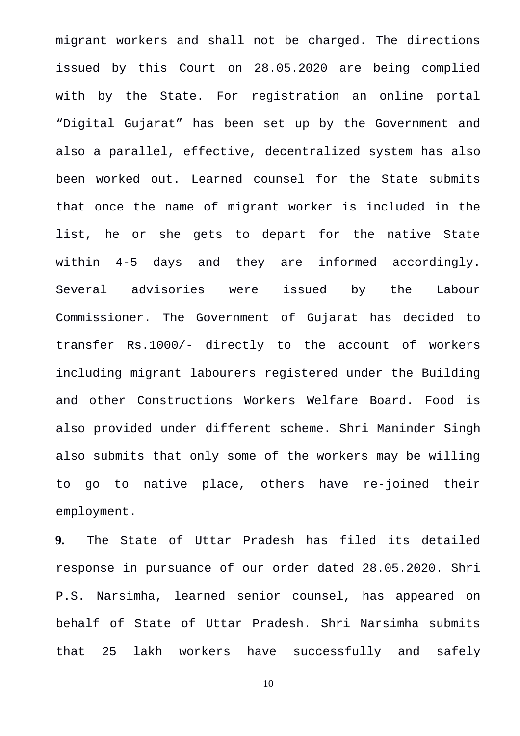migrant workers and shall not be charged. The directions issued by this Court on 28.05.2020 are being complied with by the State. For registration an online portal "Digital Gujarat" has been set up by the Government and also a parallel, effective, decentralized system has also been worked out. Learned counsel for the State submits that once the name of migrant worker is included in the list, he or she gets to depart for the native State within 4-5 days and they are informed accordingly. Several advisories were issued by the Labour Commissioner. The Government of Gujarat has decided to transfer Rs.1000/- directly to the account of workers including migrant labourers registered under the Building and other Constructions Workers Welfare Board. Food is also provided under different scheme. Shri Maninder Singh also submits that only some of the workers may be willing to go to native place, others have re-joined their employment.

**9.** The State of Uttar Pradesh has filed its detailed response in pursuance of our order dated 28.05.2020. Shri P.S. Narsimha, learned senior counsel, has appeared on behalf of State of Uttar Pradesh. Shri Narsimha submits that 25 lakh workers have successfully and safely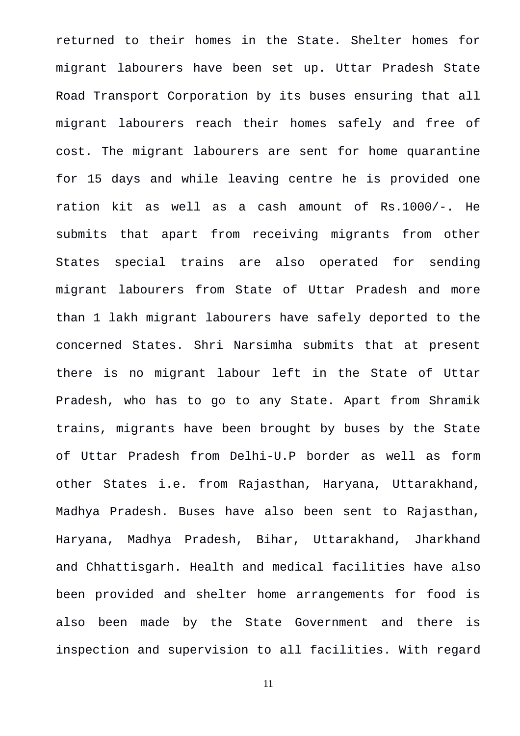returned to their homes in the State. Shelter homes for migrant labourers have been set up. Uttar Pradesh State Road Transport Corporation by its buses ensuring that all migrant labourers reach their homes safely and free of cost. The migrant labourers are sent for home quarantine for 15 days and while leaving centre he is provided one ration kit as well as a cash amount of Rs.1000/-. He submits that apart from receiving migrants from other States special trains are also operated for sending migrant labourers from State of Uttar Pradesh and more than 1 lakh migrant labourers have safely deported to the concerned States. Shri Narsimha submits that at present there is no migrant labour left in the State of Uttar Pradesh, who has to go to any State. Apart from Shramik trains, migrants have been brought by buses by the State of Uttar Pradesh from Delhi-U.P border as well as form other States i.e. from Rajasthan, Haryana, Uttarakhand, Madhya Pradesh. Buses have also been sent to Rajasthan, Haryana, Madhya Pradesh, Bihar, Uttarakhand, Jharkhand and Chhattisgarh. Health and medical facilities have also been provided and shelter home arrangements for food is also been made by the State Government and there is inspection and supervision to all facilities. With regard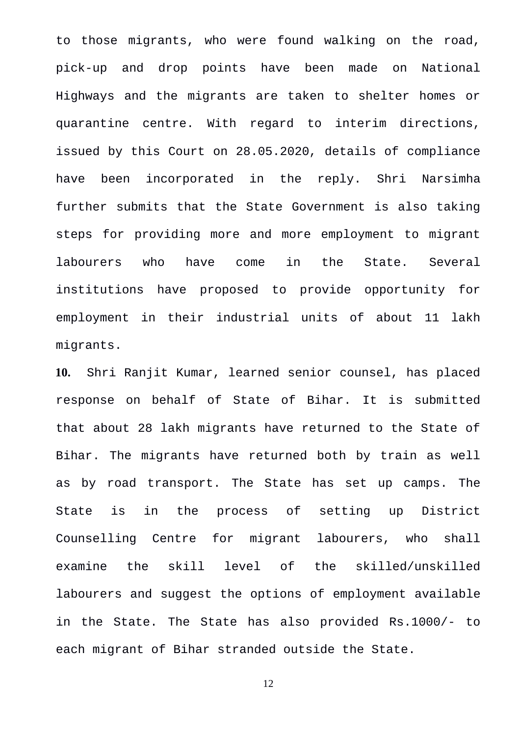to those migrants, who were found walking on the road, pick-up and drop points have been made on National Highways and the migrants are taken to shelter homes or quarantine centre. With regard to interim directions, issued by this Court on 28.05.2020, details of compliance have been incorporated in the reply. Shri Narsimha further submits that the State Government is also taking steps for providing more and more employment to migrant labourers who have come in the State. Several institutions have proposed to provide opportunity for employment in their industrial units of about 11 lakh migrants.

**10.** Shri Ranjit Kumar, learned senior counsel, has placed response on behalf of State of Bihar. It is submitted that about 28 lakh migrants have returned to the State of Bihar. The migrants have returned both by train as well as by road transport. The State has set up camps. The State is in the process of setting up District Counselling Centre for migrant labourers, who shall examine the skill level of the skilled/unskilled labourers and suggest the options of employment available in the State. The State has also provided Rs.1000/- to each migrant of Bihar stranded outside the State.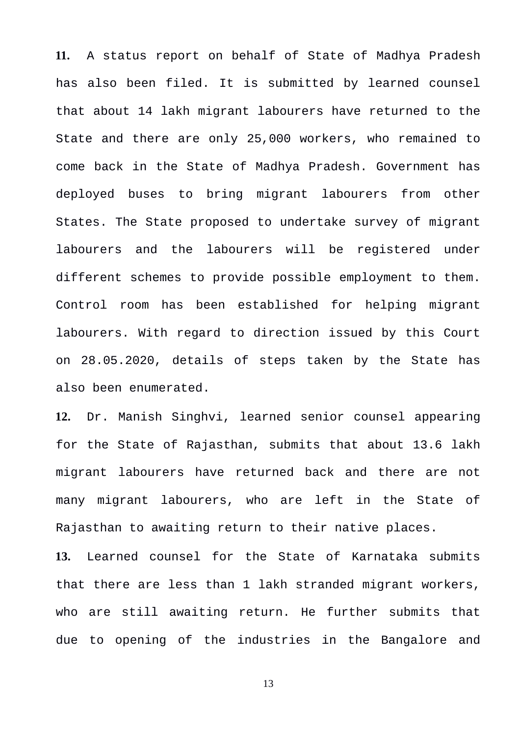**11.** A status report on behalf of State of Madhya Pradesh has also been filed. It is submitted by learned counsel that about 14 lakh migrant labourers have returned to the State and there are only 25,000 workers, who remained to come back in the State of Madhya Pradesh. Government has deployed buses to bring migrant labourers from other States. The State proposed to undertake survey of migrant labourers and the labourers will be registered under different schemes to provide possible employment to them. Control room has been established for helping migrant labourers. With regard to direction issued by this Court on 28.05.2020, details of steps taken by the State has also been enumerated.

**12.** Dr. Manish Singhvi, learned senior counsel appearing for the State of Rajasthan, submits that about 13.6 lakh migrant labourers have returned back and there are not many migrant labourers, who are left in the State of Rajasthan to awaiting return to their native places.

**13.** Learned counsel for the State of Karnataka submits that there are less than 1 lakh stranded migrant workers, who are still awaiting return. He further submits that due to opening of the industries in the Bangalore and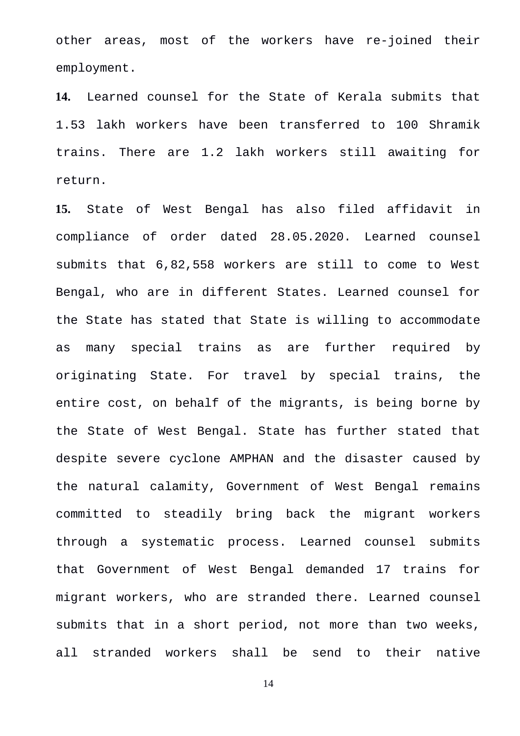other areas, most of the workers have re-joined their employment.

**14.** Learned counsel for the State of Kerala submits that 1.53 lakh workers have been transferred to 100 Shramik trains. There are 1.2 lakh workers still awaiting for return.

**15.** State of West Bengal has also filed affidavit in compliance of order dated 28.05.2020. Learned counsel submits that 6,82,558 workers are still to come to West Bengal, who are in different States. Learned counsel for the State has stated that State is willing to accommodate as many special trains as are further required by originating State. For travel by special trains, the entire cost, on behalf of the migrants, is being borne by the State of West Bengal. State has further stated that despite severe cyclone AMPHAN and the disaster caused by the natural calamity, Government of West Bengal remains committed to steadily bring back the migrant workers through a systematic process. Learned counsel submits that Government of West Bengal demanded 17 trains for migrant workers, who are stranded there. Learned counsel submits that in a short period, not more than two weeks, all stranded workers shall be send to their native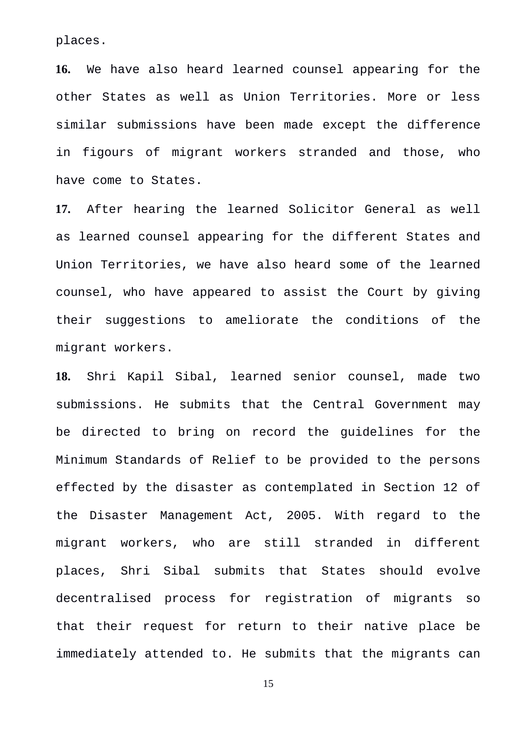places.

**16.** We have also heard learned counsel appearing for the other States as well as Union Territories. More or less similar submissions have been made except the difference in figours of migrant workers stranded and those, who have come to States.

**17.** After hearing the learned Solicitor General as well as learned counsel appearing for the different States and Union Territories, we have also heard some of the learned counsel, who have appeared to assist the Court by giving their suggestions to ameliorate the conditions of the migrant workers.

**18.** Shri Kapil Sibal, learned senior counsel, made two submissions. He submits that the Central Government may be directed to bring on record the guidelines for the Minimum Standards of Relief to be provided to the persons effected by the disaster as contemplated in Section 12 of the Disaster Management Act, 2005. With regard to the migrant workers, who are still stranded in different places, Shri Sibal submits that States should evolve decentralised process for registration of migrants so that their request for return to their native place be immediately attended to. He submits that the migrants can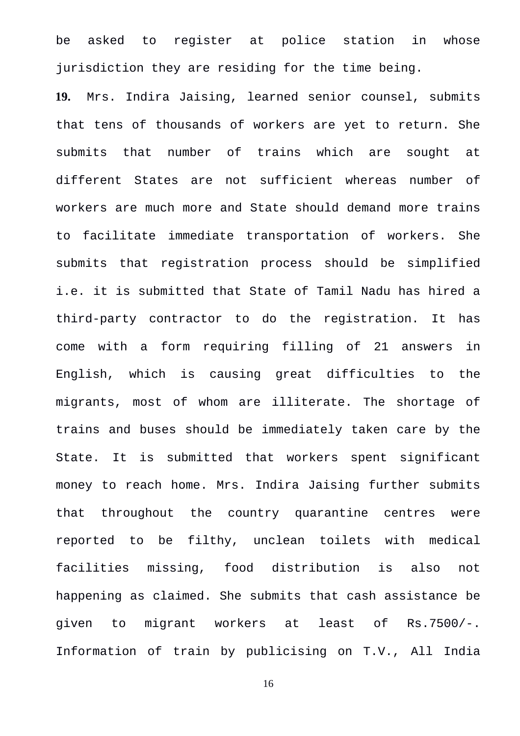be asked to register at police station in whose jurisdiction they are residing for the time being.

**19.** Mrs. Indira Jaising, learned senior counsel, submits that tens of thousands of workers are yet to return. She submits that number of trains which are sought at different States are not sufficient whereas number of workers are much more and State should demand more trains to facilitate immediate transportation of workers. She submits that registration process should be simplified i.e. it is submitted that State of Tamil Nadu has hired a third-party contractor to do the registration. It has come with a form requiring filling of 21 answers in English, which is causing great difficulties to the migrants, most of whom are illiterate. The shortage of trains and buses should be immediately taken care by the State. It is submitted that workers spent significant money to reach home. Mrs. Indira Jaising further submits that throughout the country quarantine centres were reported to be filthy, unclean toilets with medical facilities missing, food distribution is also not happening as claimed. She submits that cash assistance be given to migrant workers at least of Rs.7500/-. Information of train by publicising on T.V., All India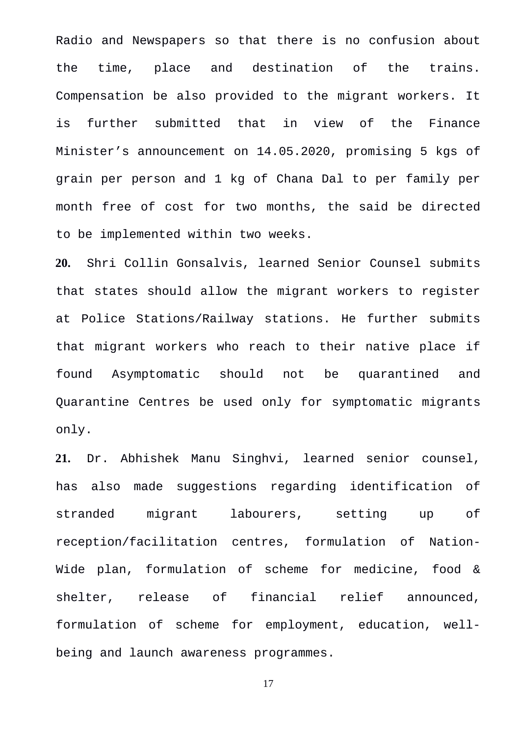Radio and Newspapers so that there is no confusion about the time, place and destination of the trains. Compensation be also provided to the migrant workers. It is further submitted that in view of the Finance Minister's announcement on 14.05.2020, promising 5 kgs of grain per person and 1 kg of Chana Dal to per family per month free of cost for two months, the said be directed to be implemented within two weeks.

**20.** Shri Collin Gonsalvis, learned Senior Counsel submits that states should allow the migrant workers to register at Police Stations/Railway stations. He further submits that migrant workers who reach to their native place if found Asymptomatic should not be quarantined and Quarantine Centres be used only for symptomatic migrants only.

**21.** Dr. Abhishek Manu Singhvi, learned senior counsel, has also made suggestions regarding identification of stranded migrant labourers, setting up of reception/facilitation centres, formulation of Nation-Wide plan, formulation of scheme for medicine, food & shelter, release of financial relief announced, formulation of scheme for employment, education, wellbeing and launch awareness programmes.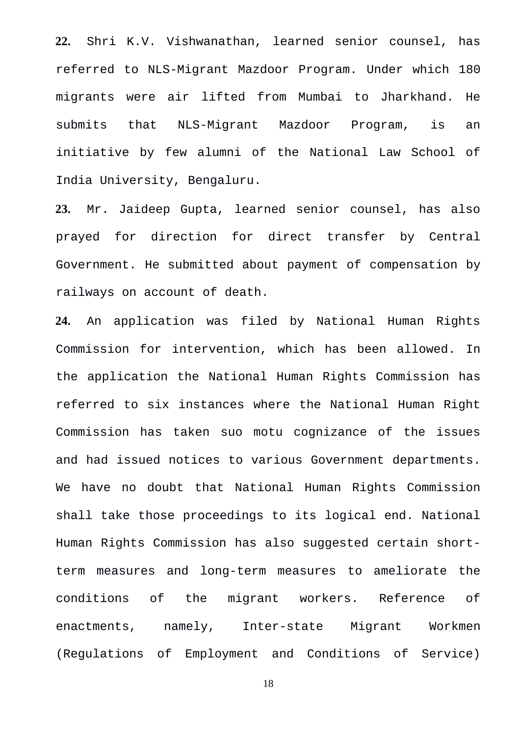**22.** Shri K.V. Vishwanathan, learned senior counsel, has referred to NLS-Migrant Mazdoor Program. Under which 180 migrants were air lifted from Mumbai to Jharkhand. He submits that NLS-Migrant Mazdoor Program, is an initiative by few alumni of the National Law School of India University, Bengaluru.

**23.** Mr. Jaideep Gupta, learned senior counsel, has also prayed for direction for direct transfer by Central Government. He submitted about payment of compensation by railways on account of death.

**24.** An application was filed by National Human Rights Commission for intervention, which has been allowed. In the application the National Human Rights Commission has referred to six instances where the National Human Right Commission has taken suo motu cognizance of the issues and had issued notices to various Government departments. We have no doubt that National Human Rights Commission shall take those proceedings to its logical end. National Human Rights Commission has also suggested certain shortterm measures and long-term measures to ameliorate the conditions of the migrant workers. Reference of enactments, namely, Inter-state Migrant Workmen (Regulations of Employment and Conditions of Service)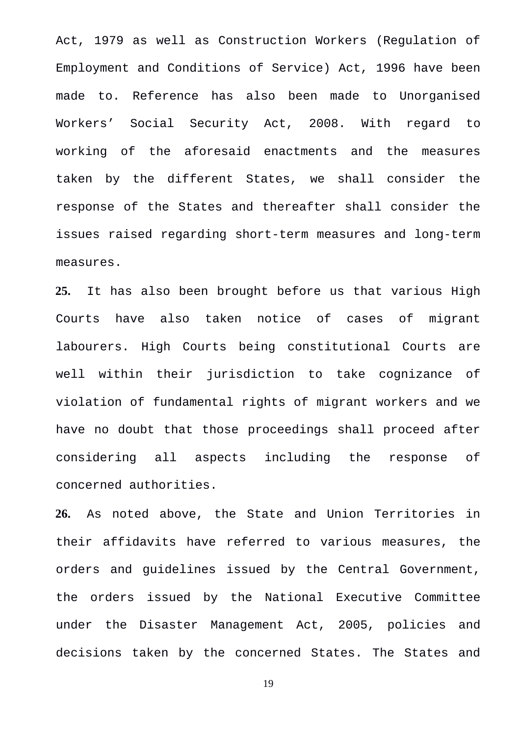Act, 1979 as well as Construction Workers (Regulation of Employment and Conditions of Service) Act, 1996 have been made to. Reference has also been made to Unorganised Workers' Social Security Act, 2008. With regard to working of the aforesaid enactments and the measures taken by the different States, we shall consider the response of the States and thereafter shall consider the issues raised regarding short-term measures and long-term measures.

**25.** It has also been brought before us that various High Courts have also taken notice of cases of migrant labourers. High Courts being constitutional Courts are well within their jurisdiction to take cognizance of violation of fundamental rights of migrant workers and we have no doubt that those proceedings shall proceed after considering all aspects including the response of concerned authorities.

**26.** As noted above, the State and Union Territories in their affidavits have referred to various measures, the orders and guidelines issued by the Central Government, the orders issued by the National Executive Committee under the Disaster Management Act, 2005, policies and decisions taken by the concerned States. The States and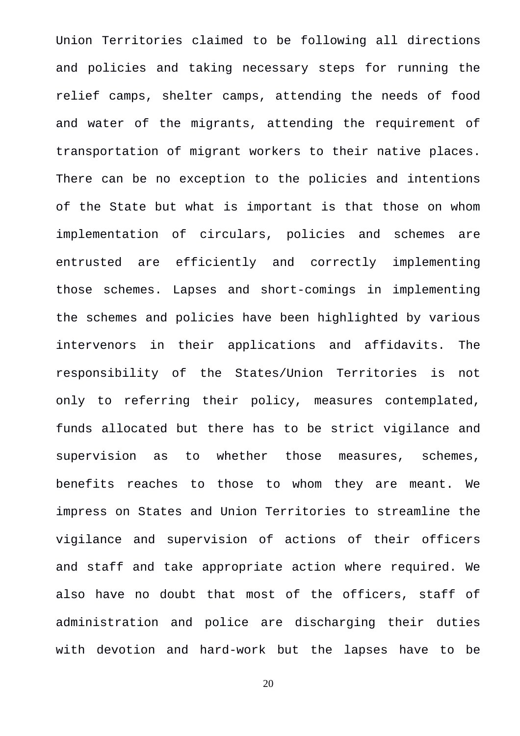Union Territories claimed to be following all directions and policies and taking necessary steps for running the relief camps, shelter camps, attending the needs of food and water of the migrants, attending the requirement of transportation of migrant workers to their native places. There can be no exception to the policies and intentions of the State but what is important is that those on whom implementation of circulars, policies and schemes are entrusted are efficiently and correctly implementing those schemes. Lapses and short-comings in implementing the schemes and policies have been highlighted by various intervenors in their applications and affidavits. The responsibility of the States/Union Territories is not only to referring their policy, measures contemplated, funds allocated but there has to be strict vigilance and supervision as to whether those measures, schemes, benefits reaches to those to whom they are meant. We impress on States and Union Territories to streamline the vigilance and supervision of actions of their officers and staff and take appropriate action where required. We also have no doubt that most of the officers, staff of administration and police are discharging their duties with devotion and hard-work but the lapses have to be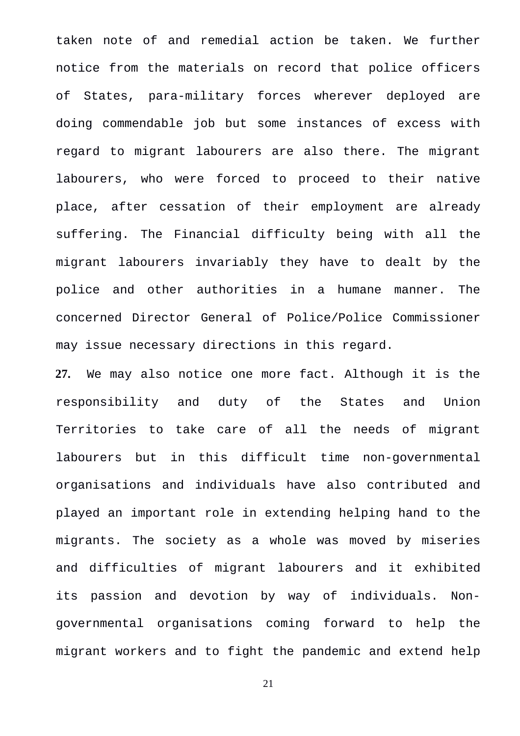taken note of and remedial action be taken. We further notice from the materials on record that police officers of States, para-military forces wherever deployed are doing commendable job but some instances of excess with regard to migrant labourers are also there. The migrant labourers, who were forced to proceed to their native place, after cessation of their employment are already suffering. The Financial difficulty being with all the migrant labourers invariably they have to dealt by the police and other authorities in a humane manner. The concerned Director General of Police/Police Commissioner may issue necessary directions in this regard.

**27.** We may also notice one more fact. Although it is the responsibility and duty of the States and Union Territories to take care of all the needs of migrant labourers but in this difficult time non-governmental organisations and individuals have also contributed and played an important role in extending helping hand to the migrants. The society as a whole was moved by miseries and difficulties of migrant labourers and it exhibited its passion and devotion by way of individuals. Nongovernmental organisations coming forward to help the migrant workers and to fight the pandemic and extend help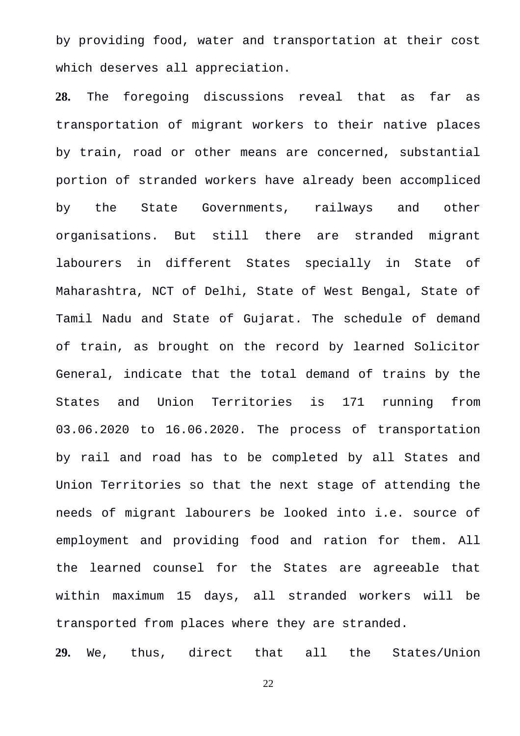by providing food, water and transportation at their cost which deserves all appreciation.

**28.** The foregoing discussions reveal that as far as transportation of migrant workers to their native places by train, road or other means are concerned, substantial portion of stranded workers have already been accompliced by the State Governments, railways and other organisations. But still there are stranded migrant labourers in different States specially in State of Maharashtra, NCT of Delhi, State of West Bengal, State of Tamil Nadu and State of Gujarat. The schedule of demand of train, as brought on the record by learned Solicitor General, indicate that the total demand of trains by the States and Union Territories is 171 running from 03.06.2020 to 16.06.2020. The process of transportation by rail and road has to be completed by all States and Union Territories so that the next stage of attending the needs of migrant labourers be looked into i.e. source of employment and providing food and ration for them. All the learned counsel for the States are agreeable that within maximum 15 days, all stranded workers will be transported from places where they are stranded.

**29.** We, thus, direct that all the States/Union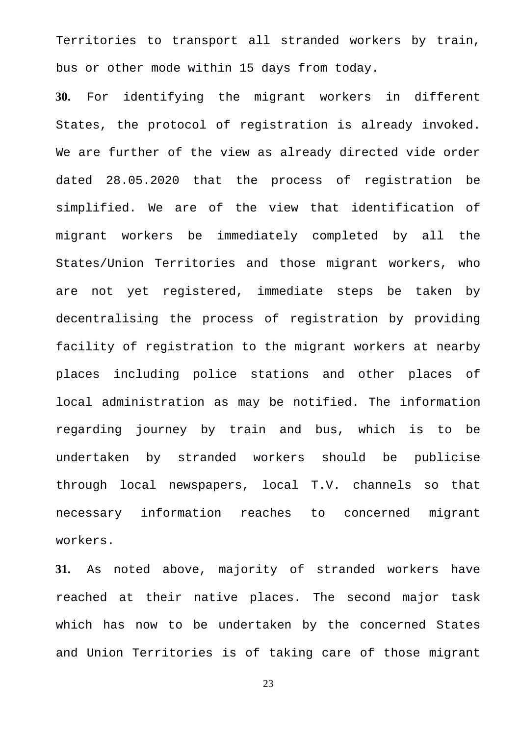Territories to transport all stranded workers by train, bus or other mode within 15 days from today.

**30.** For identifying the migrant workers in different States, the protocol of registration is already invoked. We are further of the view as already directed vide order dated 28.05.2020 that the process of registration be simplified. We are of the view that identification of migrant workers be immediately completed by all the States/Union Territories and those migrant workers, who are not yet registered, immediate steps be taken by decentralising the process of registration by providing facility of registration to the migrant workers at nearby places including police stations and other places of local administration as may be notified. The information regarding journey by train and bus, which is to be undertaken by stranded workers should be publicise through local newspapers, local T.V. channels so that necessary information reaches to concerned migrant workers.

**31.** As noted above, majority of stranded workers have reached at their native places. The second major task which has now to be undertaken by the concerned States and Union Territories is of taking care of those migrant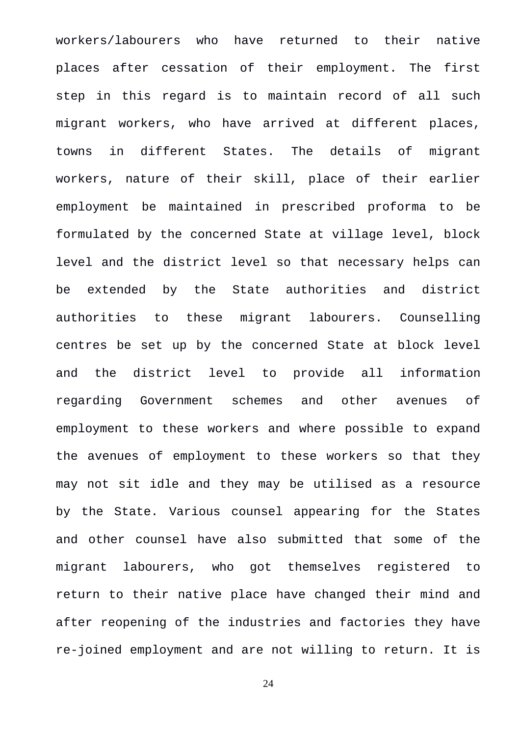workers/labourers who have returned to their native places after cessation of their employment. The first step in this regard is to maintain record of all such migrant workers, who have arrived at different places, towns in different States. The details of migrant workers, nature of their skill, place of their earlier employment be maintained in prescribed proforma to be formulated by the concerned State at village level, block level and the district level so that necessary helps can be extended by the State authorities and district authorities to these migrant labourers. Counselling centres be set up by the concerned State at block level and the district level to provide all information regarding Government schemes and other avenues of employment to these workers and where possible to expand the avenues of employment to these workers so that they may not sit idle and they may be utilised as a resource by the State. Various counsel appearing for the States and other counsel have also submitted that some of the migrant labourers, who got themselves registered to return to their native place have changed their mind and after reopening of the industries and factories they have re-joined employment and are not willing to return. It is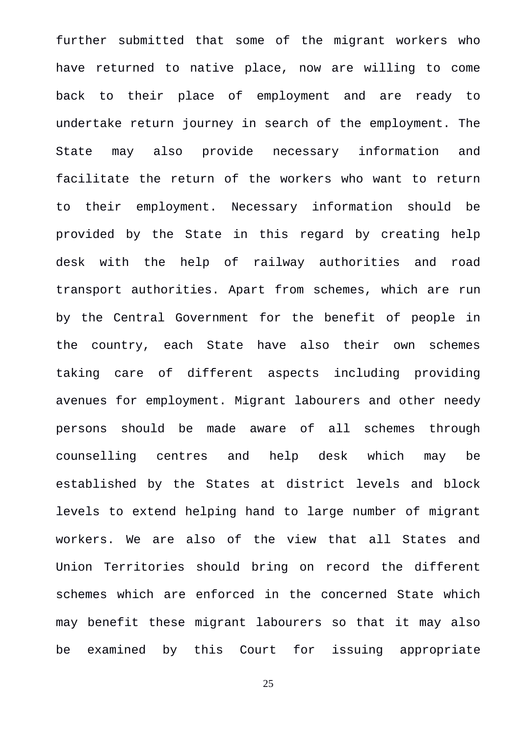further submitted that some of the migrant workers who have returned to native place, now are willing to come back to their place of employment and are ready to undertake return journey in search of the employment. The State may also provide necessary information and facilitate the return of the workers who want to return to their employment. Necessary information should be provided by the State in this regard by creating help desk with the help of railway authorities and road transport authorities. Apart from schemes, which are run by the Central Government for the benefit of people in the country, each State have also their own schemes taking care of different aspects including providing avenues for employment. Migrant labourers and other needy persons should be made aware of all schemes through counselling centres and help desk which may be established by the States at district levels and block levels to extend helping hand to large number of migrant workers. We are also of the view that all States and Union Territories should bring on record the different schemes which are enforced in the concerned State which may benefit these migrant labourers so that it may also be examined by this Court for issuing appropriate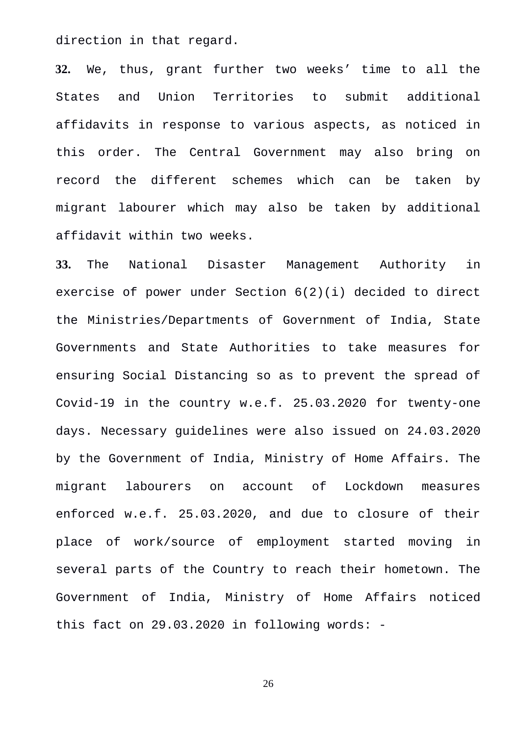direction in that regard.

**32.** We, thus, grant further two weeks' time to all the States and Union Territories to submit additional affidavits in response to various aspects, as noticed in this order. The Central Government may also bring on record the different schemes which can be taken by migrant labourer which may also be taken by additional affidavit within two weeks.

**33.** The National Disaster Management Authority in exercise of power under Section 6(2)(i) decided to direct the Ministries/Departments of Government of India, State Governments and State Authorities to take measures for ensuring Social Distancing so as to prevent the spread of Covid-19 in the country w.e.f. 25.03.2020 for twenty-one days. Necessary guidelines were also issued on 24.03.2020 by the Government of India, Ministry of Home Affairs. The migrant labourers on account of Lockdown measures enforced w.e.f. 25.03.2020, and due to closure of their place of work/source of employment started moving in several parts of the Country to reach their hometown. The Government of India, Ministry of Home Affairs noticed this fact on 29.03.2020 in following words: -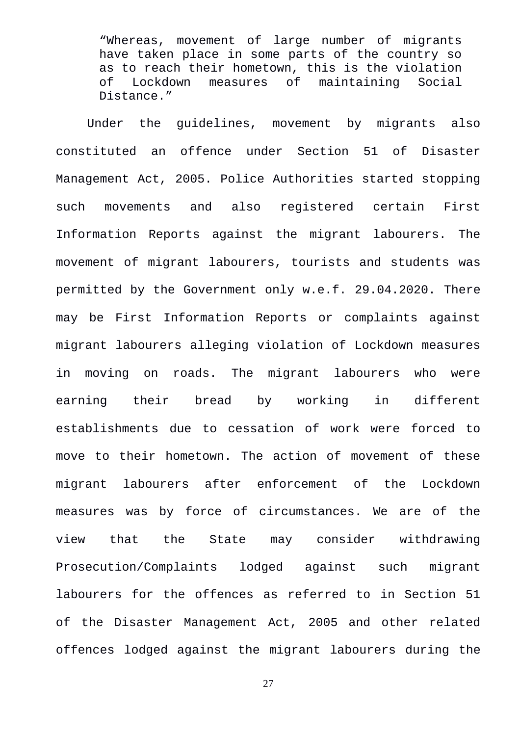"Whereas, movement of large number of migrants have taken place in some parts of the country so as to reach their hometown, this is the violation of Lockdown measures of maintaining Social Distance."

 Under the guidelines, movement by migrants also constituted an offence under Section 51 of Disaster Management Act, 2005. Police Authorities started stopping such movements and also registered certain First Information Reports against the migrant labourers. The movement of migrant labourers, tourists and students was permitted by the Government only w.e.f. 29.04.2020. There may be First Information Reports or complaints against migrant labourers alleging violation of Lockdown measures in moving on roads. The migrant labourers who were earning their bread by working in different establishments due to cessation of work were forced to move to their hometown. The action of movement of these migrant labourers after enforcement of the Lockdown measures was by force of circumstances. We are of the view that the State may consider withdrawing Prosecution/Complaints lodged against such migrant labourers for the offences as referred to in Section 51 of the Disaster Management Act, 2005 and other related offences lodged against the migrant labourers during the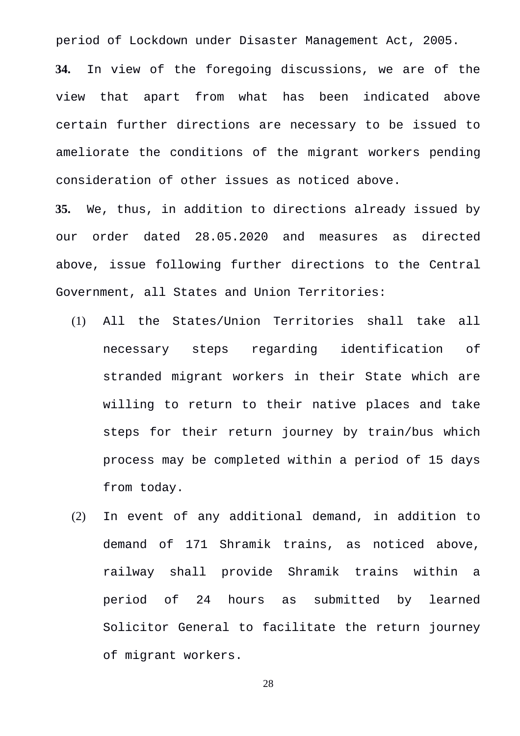period of Lockdown under Disaster Management Act, 2005.

**34.** In view of the foregoing discussions, we are of the view that apart from what has been indicated above certain further directions are necessary to be issued to ameliorate the conditions of the migrant workers pending consideration of other issues as noticed above.

**35.** We, thus, in addition to directions already issued by our order dated 28.05.2020 and measures as directed above, issue following further directions to the Central Government, all States and Union Territories:

- (1) All the States/Union Territories shall take all necessary steps regarding identification of stranded migrant workers in their State which are willing to return to their native places and take steps for their return journey by train/bus which process may be completed within a period of 15 days from today.
- (2) In event of any additional demand, in addition to demand of 171 Shramik trains, as noticed above, railway shall provide Shramik trains within a period of 24 hours as submitted by learned Solicitor General to facilitate the return journey of migrant workers.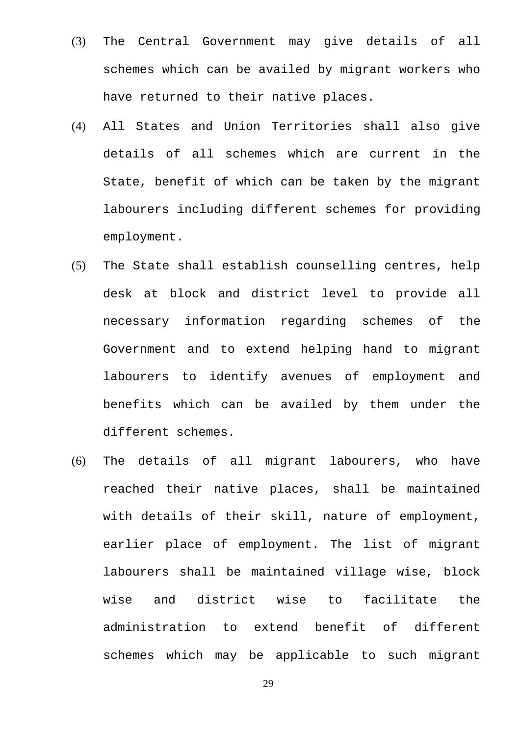- (3) The Central Government may give details of all schemes which can be availed by migrant workers who have returned to their native places.
- (4) All States and Union Territories shall also give details of all schemes which are current in the State, benefit of which can be taken by the migrant labourers including different schemes for providing employment.
- (5) The State shall establish counselling centres, help desk at block and district level to provide all necessary information regarding schemes of the Government and to extend helping hand to migrant labourers to identify avenues of employment and benefits which can be availed by them under the different schemes.
- (6) The details of all migrant labourers, who have reached their native places, shall be maintained with details of their skill, nature of employment, earlier place of employment. The list of migrant labourers shall be maintained village wise, block wise and district wise to facilitate the administration to extend benefit of different schemes which may be applicable to such migrant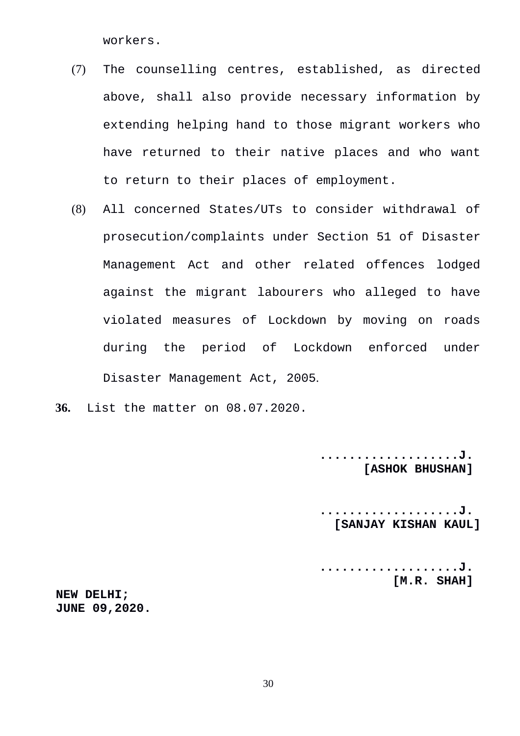workers.

- (7) The counselling centres, established, as directed above, shall also provide necessary information by extending helping hand to those migrant workers who have returned to their native places and who want to return to their places of employment.
- (8) All concerned States/UTs to consider withdrawal of prosecution/complaints under Section 51 of Disaster Management Act and other related offences lodged against the migrant labourers who alleged to have violated measures of Lockdown by moving on roads during the period of Lockdown enforced under Disaster Management Act, 2005.
- **36.** List the matter on 08.07.2020.

**...................J. [ASHOK BHUSHAN]** 

**...................J. [SANJAY KISHAN KAUL]**

**...................J. [M.R. SHAH]** 

**NEW DELHI; JUNE 09,2020.**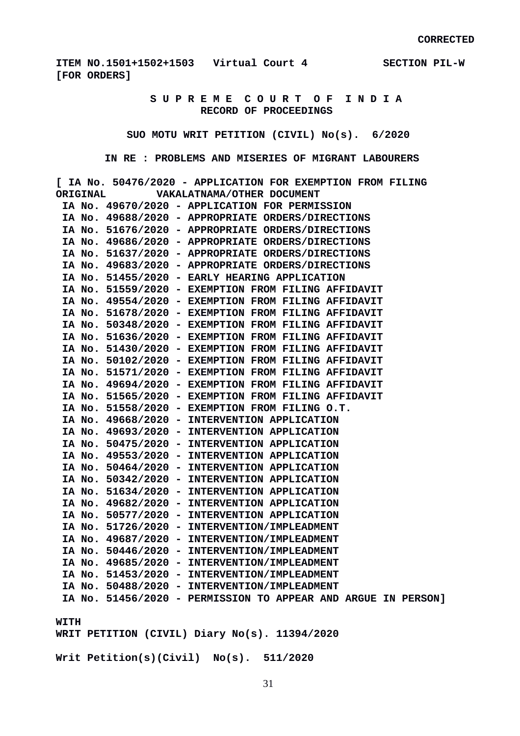**ITEM NO.1501+1502+1503 Virtual Court 4 SECTION PIL-W [FOR ORDERS] S U P R E M E C O U R T O F I N D I A RECORD OF PROCEEDINGS**

**SUO MOTU WRIT PETITION (CIVIL) No(s). 6/2020**

**IN RE : PROBLEMS AND MISERIES OF MIGRANT LABOURERS** 

| [ IA No. 50476/2020 - APPLICATION FOR EXEMPTION FROM FILING   |
|---------------------------------------------------------------|
| <b>VAKALATNAMA/OTHER DOCUMENT</b><br><b>ORIGINAL</b>          |
| IA No. 49670/2020 - APPLICATION FOR PERMISSION                |
| IA No. 49688/2020 - APPROPRIATE ORDERS/DIRECTIONS             |
| IA No. 51676/2020 - APPROPRIATE ORDERS/DIRECTIONS             |
| IA No. 49686/2020 - APPROPRIATE ORDERS/DIRECTIONS             |
| IA No. 51637/2020 - APPROPRIATE ORDERS/DIRECTIONS             |
| IA No. 49683/2020 - APPROPRIATE ORDERS/DIRECTIONS             |
| IA No. 51455/2020 - EARLY HEARING APPLICATION                 |
| IA No. 51559/2020 - EXEMPTION FROM FILING AFFIDAVIT           |
| IA No. 49554/2020 - EXEMPTION FROM FILING AFFIDAVIT           |
| IA No. 51678/2020 - EXEMPTION FROM FILING AFFIDAVIT           |
| IA No. 50348/2020 - EXEMPTION FROM FILING AFFIDAVIT           |
| IA No. 51636/2020 - EXEMPTION FROM FILING AFFIDAVIT           |
| IA No. 51430/2020 - EXEMPTION FROM FILING AFFIDAVIT           |
| IA No. 50102/2020 - EXEMPTION FROM FILING AFFIDAVIT           |
| IA No. 51571/2020 - EXEMPTION FROM FILING AFFIDAVIT           |
| IA No. 49694/2020 - EXEMPTION FROM FILING AFFIDAVIT           |
| IA No. 51565/2020 - EXEMPTION FROM FILING AFFIDAVIT           |
| IA No. 51558/2020 - EXEMPTION FROM FILING O.T.                |
| IA No. 49668/2020 - INTERVENTION APPLICATION                  |
| IA No. 49693/2020 - INTERVENTION APPLICATION                  |
| IA No. 50475/2020 - INTERVENTION APPLICATION                  |
| IA No. 49553/2020 - INTERVENTION APPLICATION                  |
| IA No. 50464/2020 - INTERVENTION APPLICATION                  |
| IA No. 50342/2020 - INTERVENTION APPLICATION                  |
| IA No. 51634/2020 - INTERVENTION APPLICATION                  |
| IA No. 49682/2020 - INTERVENTION APPLICATION                  |
| IA No. 50577/2020 - INTERVENTION APPLICATION                  |
| IA No. 51726/2020 - INTERVENTION/IMPLEADMENT                  |
| IA No. 49687/2020 - INTERVENTION/IMPLEADMENT                  |
| IA No. 50446/2020 - INTERVENTION/IMPLEADMENT                  |
| IA No. 49685/2020 - INTERVENTION/IMPLEADMENT                  |
| IA No. 51453/2020 - INTERVENTION/IMPLEADMENT                  |
| IA No. 50488/2020 - INTERVENTION/IMPLEADMENT                  |
| IA No. 51456/2020 - PERMISSION TO APPEAR AND ARGUE IN PERSON] |
| <b>WITH</b>                                                   |
| WRIT PETITION (CIVIL) Diary No(s). 11394/2020                 |

**Writ Petition(s)(Civil) No(s). 511/2020**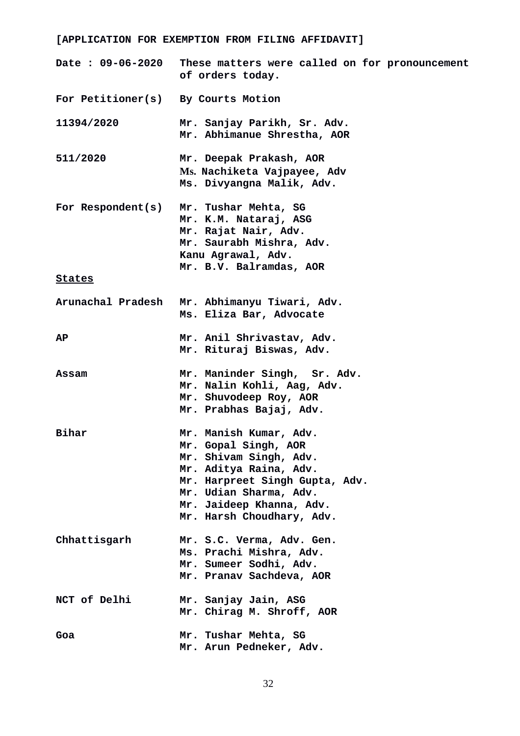**[APPLICATION FOR EXEMPTION FROM FILING AFFIDAVIT]**

| Date : 09-06-2020 | These matters were called on for pronouncement<br>of orders today.                                                                                                                                                      |
|-------------------|-------------------------------------------------------------------------------------------------------------------------------------------------------------------------------------------------------------------------|
| For Petitioner(s) | By Courts Motion                                                                                                                                                                                                        |
| 11394/2020        | Mr. Sanjay Parikh, Sr. Adv.<br>Mr. Abhimanue Shrestha, AOR                                                                                                                                                              |
| 511/2020          | Mr. Deepak Prakash, AOR<br>Ms. Nachiketa Vajpayee, Adv<br>Ms. Divyangna Malik, Adv.                                                                                                                                     |
| For Respondent(s) | Mr. Tushar Mehta, SG<br>Mr. K.M. Nataraj, ASG<br>Mr. Rajat Nair, Adv.<br>Mr. Saurabh Mishra, Adv.<br>Kanu Agrawal, Adv.<br>Mr. B.V. Balramdas, AOR                                                                      |
| <b>States</b>     |                                                                                                                                                                                                                         |
| Arunachal Pradesh | Mr. Abhimanyu Tiwari, Adv.<br>Ms. Eliza Bar, Advocate                                                                                                                                                                   |
| <b>AP</b>         | Mr. Anil Shrivastav, Adv.<br>Mr. Rituraj Biswas, Adv.                                                                                                                                                                   |
| <b>Assam</b>      | Mr. Maninder Singh, Sr. Adv.<br>Mr. Nalin Kohli, Aag, Adv.<br>Mr. Shuvodeep Roy, AOR<br>Mr. Prabhas Bajaj, Adv.                                                                                                         |
| Bihar             | Mr. Manish Kumar, Adv.<br>Mr. Gopal Singh, AOR<br>Mr. Shivam Singh, Adv.<br>Mr. Aditya Raina, Adv.<br>Mr. Harpreet Singh Gupta, Adv.<br>Mr. Udian Sharma, Adv.<br>Mr. Jaideep Khanna, Adv.<br>Mr. Harsh Choudhary, Adv. |
| Chhattisgarh      | Mr. S.C. Verma, Adv. Gen.<br>Ms. Prachi Mishra, Adv.<br>Mr. Sumeer Sodhi, Adv.<br>Mr. Pranav Sachdeva, AOR                                                                                                              |
| NCT of Delhi      | Mr. Sanjay Jain, ASG<br>Mr. Chirag M. Shroff, AOR                                                                                                                                                                       |
| Goa               | Mr. Tushar Mehta, SG<br>Mr. Arun Pedneker, Adv.                                                                                                                                                                         |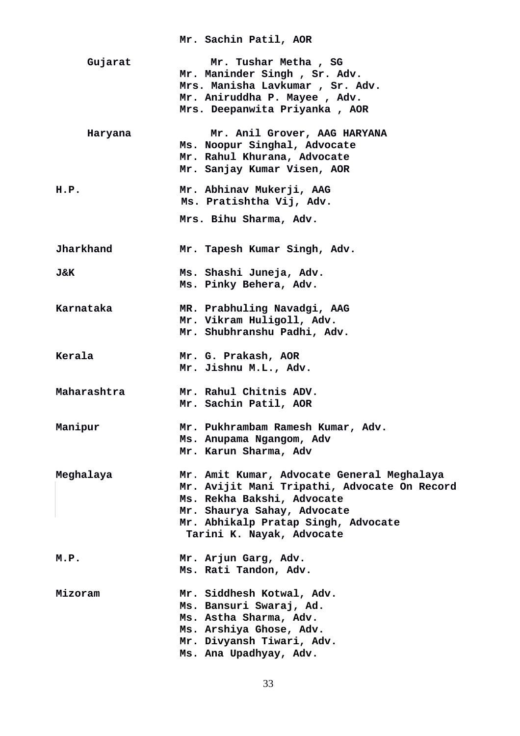|                  | Mr. Sachin Patil, AOR                                                                                                                                                                                                       |
|------------------|-----------------------------------------------------------------------------------------------------------------------------------------------------------------------------------------------------------------------------|
| Gujarat          | Mr. Tushar Metha, SG<br>Mr. Maninder Singh, Sr. Adv.<br>Mrs. Manisha Lavkumar , Sr. Adv.<br>Mr. Aniruddha P. Mayee , Adv.<br>Mrs. Deepanwita Priyanka, AOR                                                                  |
| Haryana          | Mr. Anil Grover, AAG HARYANA<br>Ms. Noopur Singhal, Advocate<br>Mr. Rahul Khurana, Advocate<br>Mr. Sanjay Kumar Visen, AOR                                                                                                  |
| H.P.             | Mr. Abhinav Mukerji, AAG<br>Ms. Pratishtha Vij, Adv.                                                                                                                                                                        |
|                  | Mrs. Bihu Sharma, Adv.                                                                                                                                                                                                      |
| <b>Jharkhand</b> | Mr. Tapesh Kumar Singh, Adv.                                                                                                                                                                                                |
| J&K              | Ms. Shashi Juneja, Adv.<br>Ms. Pinky Behera, Adv.                                                                                                                                                                           |
| Karnataka        | MR. Prabhuling Navadgi, AAG<br>Mr. Vikram Huligoll, Adv.<br>Mr. Shubhranshu Padhi, Adv.                                                                                                                                     |
| Kerala           | Mr. G. Prakash, AOR<br>Mr. Jishnu M.L., Adv.                                                                                                                                                                                |
| Maharashtra      | Mr. Rahul Chitnis ADV.<br>Mr. Sachin Patil, AOR                                                                                                                                                                             |
| Manipur          | Mr. Pukhrambam Ramesh Kumar, Adv.<br>Ms. Anupama Ngangom, Adv<br>Mr. Karun Sharma, Adv                                                                                                                                      |
| Meghalaya        | Mr. Amit Kumar, Advocate General Meghalaya<br>Mr. Avijit Mani Tripathi, Advocate On Record<br>Ms. Rekha Bakshi, Advocate<br>Mr. Shaurya Sahay, Advocate<br>Mr. Abhikalp Pratap Singh, Advocate<br>Tarini K. Nayak, Advocate |
| M.P.             | Mr. Arjun Garg, Adv.<br>Ms. Rati Tandon, Adv.                                                                                                                                                                               |
| Mizoram          | Mr. Siddhesh Kotwal, Adv.<br>Ms. Bansuri Swaraj, Ad.<br>Ms. Astha Sharma, Adv.<br>Ms. Arshiya Ghose, Adv.<br>Mr. Divyansh Tiwari, Adv.<br>Ms. Ana Upadhyay, Adv.                                                            |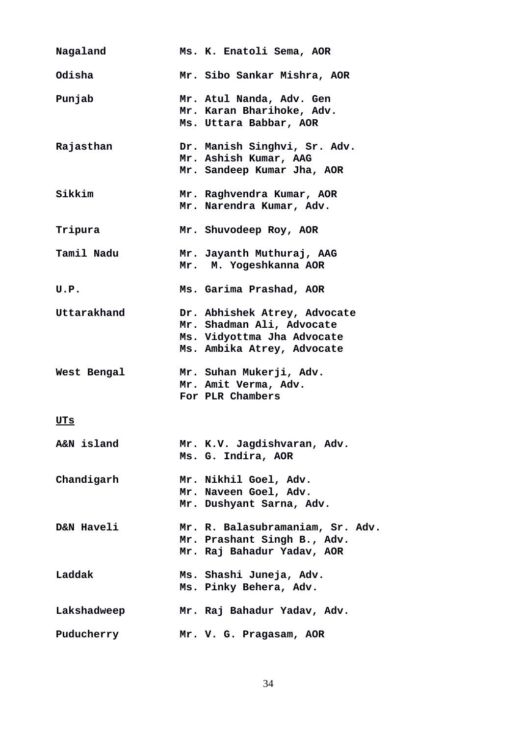| Nagaland              | Ms. K. Enatoli Sema, AOR                                                                                              |
|-----------------------|-----------------------------------------------------------------------------------------------------------------------|
| Odisha                | Mr. Sibo Sankar Mishra, AOR                                                                                           |
| Punjab                | Mr. Atul Nanda, Adv. Gen<br>Mr. Karan Bharihoke, Adv.<br>Ms. Uttara Babbar, AOR                                       |
| Rajasthan             | Dr. Manish Singhvi, Sr. Adv.<br>Mr. Ashish Kumar, AAG<br>Mr. Sandeep Kumar Jha, AOR                                   |
| <b>Sikkim</b>         | Mr. Raghvendra Kumar, AOR<br>Mr. Narendra Kumar, Adv.                                                                 |
| Tripura               | Mr. Shuvodeep Roy, AOR                                                                                                |
| <b>Tamil Nadu</b>     | Mr. Jayanth Muthuraj, AAG<br>Mr. M. Yogeshkanna AOR                                                                   |
| U.P.                  | Ms. Garima Prashad, AOR                                                                                               |
| Uttarakhand           | Dr. Abhishek Atrey, Advocate<br>Mr. Shadman Ali, Advocate<br>Ms. Vidyottma Jha Advocate<br>Ms. Ambika Atrey, Advocate |
| West Bengal           | Mr. Suhan Mukerji, Adv.<br>Mr. Amit Verma, Adv.<br>For PLR Chambers                                                   |
| <u>UTs</u>            |                                                                                                                       |
| <b>A&amp;N</b> island | Mr. K.V. Jagdishvaran, Adv.<br>Ms. G. Indira, AOR                                                                     |
| Chandigarh            | Mr. Nikhil Goel, Adv.<br>Mr. Naveen Goel, Adv.<br>Mr. Dushyant Sarna, Adv.                                            |
| <b>D&amp;N Haveli</b> | Mr. R. Balasubramaniam, Sr. Adv.<br>Mr. Prashant Singh B., Adv.<br>Mr. Raj Bahadur Yadav, AOR                         |
| Laddak                | Ms. Shashi Juneja, Adv.<br>Ms. Pinky Behera, Adv.                                                                     |
| Lakshadweep           | Mr. Raj Bahadur Yadav, Adv.                                                                                           |
| Puducherry            | Mr. V. G. Pragasam, AOR                                                                                               |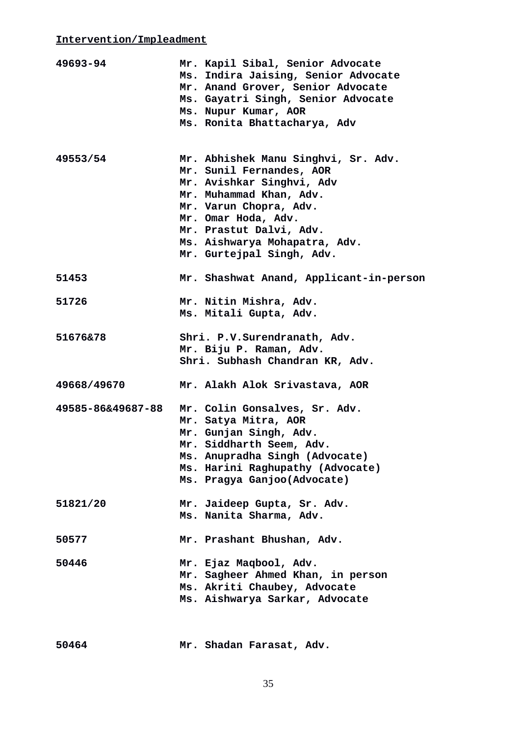| 49693-94          | Mr. Kapil Sibal, Senior Advocate<br>Ms. Indira Jaising, Senior Advocate<br>Mr. Anand Grover, Senior Advocate<br>Ms. Gayatri Singh, Senior Advocate<br>Ms. Nupur Kumar, AOR<br>Ms. Ronita Bhattacharya, Adv                                                        |
|-------------------|-------------------------------------------------------------------------------------------------------------------------------------------------------------------------------------------------------------------------------------------------------------------|
| 49553/54          | Mr. Abhishek Manu Singhvi, Sr. Adv.<br>Mr. Sunil Fernandes, AOR<br>Mr. Avishkar Singhvi, Adv<br>Mr. Muhammad Khan, Adv.<br>Mr. Varun Chopra, Adv.<br>Mr. Omar Hoda, Adv.<br>Mr. Prastut Dalvi, Adv.<br>Ms. Aishwarya Mohapatra, Adv.<br>Mr. Gurtejpal Singh, Adv. |
| 51453             | Mr. Shashwat Anand, Applicant-in-person                                                                                                                                                                                                                           |
| 51726             | Mr. Nitin Mishra, Adv.<br>Ms. Mitali Gupta, Adv.                                                                                                                                                                                                                  |
| 51676&78          | Shri. P.V.Surendranath, Adv.<br>Mr. Biju P. Raman, Adv.<br>Shri. Subhash Chandran KR, Adv.                                                                                                                                                                        |
| 49668/49670       | Mr. Alakh Alok Srivastava, AOR                                                                                                                                                                                                                                    |
| 49585-86&49687-88 | Mr. Colin Gonsalves, Sr. Adv.<br>Mr. Satya Mitra, AOR<br>Mr. Gunjan Singh, Adv.<br>Mr. Siddharth Seem, Adv.<br>Ms. Anupradha Singh (Advocate)<br>Ms. Harini Raghupathy (Advocate)<br>Ms. Pragya Ganjoo(Advocate)                                                  |
| 51821/20          | Mr. Jaideep Gupta, Sr. Adv.<br>Ms. Nanita Sharma, Adv.                                                                                                                                                                                                            |
| 50577             | Mr. Prashant Bhushan, Adv.                                                                                                                                                                                                                                        |
| 50446             | Mr. Ejaz Maqbool, Adv.<br>Mr. Sagheer Ahmed Khan, in person<br>Ms. Akriti Chaubey, Advocate<br>Ms. Aishwarya Sarkar, Advocate                                                                                                                                     |

| 50464 |  |  | Mr. Shadan Farasat, Adv. |  |
|-------|--|--|--------------------------|--|
|-------|--|--|--------------------------|--|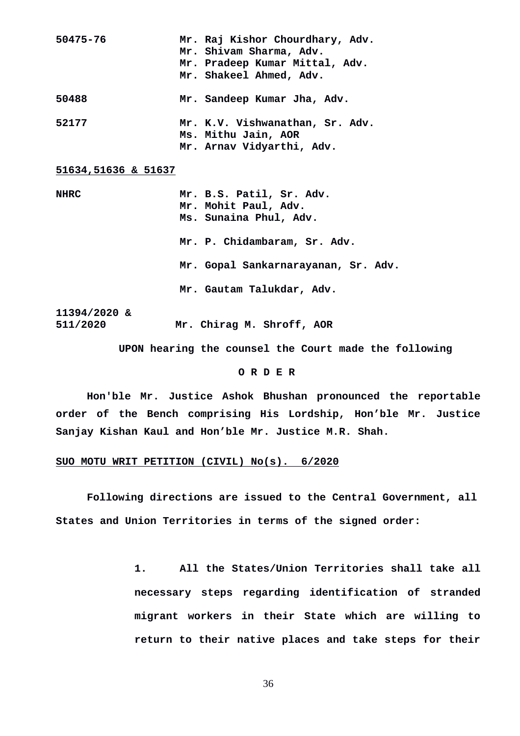| 50475-76             | Mr. Raj Kishor Chourdhary, Adv.<br>Mr. Shivam Sharma, Adv.<br>Mr. Pradeep Kumar Mittal, Adv.<br>Mr. Shakeel Ahmed, Adv.                                                        |
|----------------------|--------------------------------------------------------------------------------------------------------------------------------------------------------------------------------|
| 50488                | Mr. Sandeep Kumar Jha, Adv.                                                                                                                                                    |
| 52177                | Mr. K.V. Vishwanathan, Sr. Adv.<br>Ms. Mithu Jain, AOR<br>Mr. Arnav Vidyarthi, Adv.                                                                                            |
| 51634, 51636 & 51637 |                                                                                                                                                                                |
| <b>NHRC</b>          | Mr. B.S. Patil, Sr. Adv.<br>Mr. Mohit Paul, Adv.<br>Ms. Sunaina Phul, Adv.<br>Mr. P. Chidambaram, Sr. Adv.<br>Mr. Gopal Sankarnarayanan, Sr. Adv.<br>Mr. Gautam Talukdar, Adv. |
| 11394/2020 &         |                                                                                                                                                                                |

**511/2020 Mr. Chirag M. Shroff, AOR** 

 **UPON hearing the counsel the Court made the following**

### **O R D E R**

**Hon'ble Mr. Justice Ashok Bhushan pronounced the reportable order of the Bench comprising His Lordship, Hon'ble Mr. Justice Sanjay Kishan Kaul and Hon'ble Mr. Justice M.R. Shah.**

#### **SUO MOTU WRIT PETITION (CIVIL) No(s). 6/2020**

**Following directions are issued to the Central Government, all States and Union Territories in terms of the signed order:**

> **1. All the States/Union Territories shall take all necessary steps regarding identification of stranded migrant workers in their State which are willing to return to their native places and take steps for their**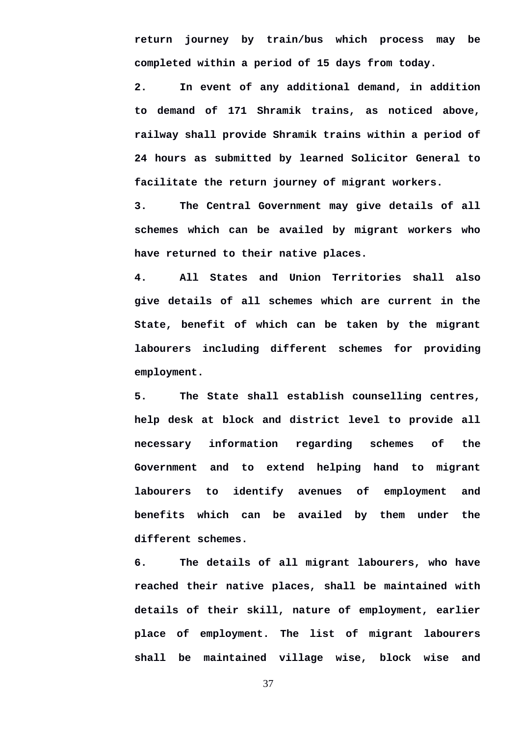**return journey by train/bus which process may be completed within a period of 15 days from today.**

**2. In event of any additional demand, in addition to demand of 171 Shramik trains, as noticed above, railway shall provide Shramik trains within a period of 24 hours as submitted by learned Solicitor General to facilitate the return journey of migrant workers.**

**3. The Central Government may give details of all schemes which can be availed by migrant workers who have returned to their native places.** 

**4. All States and Union Territories shall also give details of all schemes which are current in the State, benefit of which can be taken by the migrant labourers including different schemes for providing employment.** 

**5. The State shall establish counselling centres, help desk at block and district level to provide all necessary information regarding schemes of the Government and to extend helping hand to migrant labourers to identify avenues of employment and benefits which can be availed by them under the different schemes.** 

**6. The details of all migrant labourers, who have reached their native places, shall be maintained with details of their skill, nature of employment, earlier place of employment. The list of migrant labourers shall be maintained village wise, block wise and**